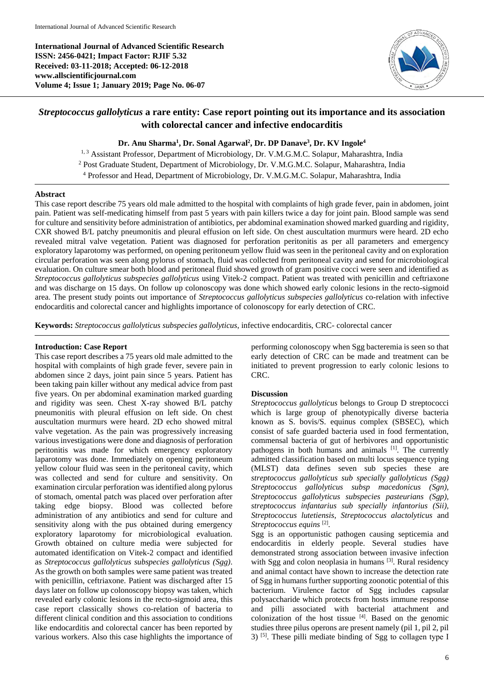**International Journal of Advanced Scientific Research ISSN: 2456-0421; Impact Factor: RJIF 5.32 Received: 03-11-2018; Accepted: 06-12-2018 www.allscientificjournal.com Volume 4; Issue 1; January 2019; Page No. 06-07**



# *Streptococcus gallolyticus* **a rare entity: Case report pointing out its importance and its association with colorectal cancer and infective endocarditis**

**Dr. Anu Sharma<sup>1</sup> , Dr. Sonal Agarwal<sup>2</sup> , Dr. DP Danave<sup>3</sup> , Dr. KV Ingole<sup>4</sup>**

<sup>1, 3</sup> Assistant Professor, Department of Microbiology, Dr. V.M.G.M.C. Solapur, Maharashtra, India <sup>2</sup> Post Graduate Student, Department of Microbiology, Dr. V.M.G.M.C. Solapur, Maharashtra, India <sup>4</sup> Professor and Head, Department of Microbiology, Dr. V.M.G.M.C. Solapur, Maharashtra, India

### **Abstract**

This case report describe 75 years old male admitted to the hospital with complaints of high grade fever, pain in abdomen, joint pain. Patient was self-medicating himself from past 5 years with pain killers twice a day for joint pain. Blood sample was send for culture and sensitivity before administration of antibiotics, per abdominal examination showed marked guarding and rigidity, CXR showed B/L patchy pneumonitis and pleural effusion on left side. On chest auscultation murmurs were heard. 2D echo revealed mitral valve vegetation. Patient was diagnosed for perforation peritonitis as per all parameters and emergency exploratory laparotomy was performed, on opening peritoneum yellow fluid was seen in the peritoneal cavity and on exploration circular perforation was seen along pylorus of stomach, fluid was collected from peritoneal cavity and send for microbiological evaluation. On culture smear both blood and peritoneal fluid showed growth of gram positive cocci were seen and identified as *Streptococcus gallolyticus subspecies gallolyticus* using Vitek-2 compact. Patient was treated with penicillin and ceftriaxone and was discharge on 15 days. On follow up colonoscopy was done which showed early colonic lesions in the recto-sigmoid area. The present study points out importance of *Streptococcus gallolyticus subspecies gallolyticus* co-relation with infective endocarditis and colorectal cancer and highlights importance of colonoscopy for early detection of CRC.

**Keywords:** *Streptococcus gallolyticus subspecies gallolyticus*, infective endocarditis, CRC- colorectal cancer

## **Introduction: Case Report**

This case report describes a 75 years old male admitted to the hospital with complaints of high grade fever, severe pain in abdomen since 2 days, joint pain since 5 years. Patient has been taking pain killer without any medical advice from past five years. On per abdominal examination marked guarding and rigidity was seen. Chest X-ray showed B/L patchy pneumonitis with pleural effusion on left side. On chest auscultation murmurs were heard. 2D echo showed mitral valve vegetation. As the pain was progressively increasing various investigations were done and diagnosis of perforation peritonitis was made for which emergency exploratory laparotomy was done. Immediately on opening peritoneum yellow colour fluid was seen in the peritoneal cavity, which was collected and send for culture and sensitivity. On examination circular perforation was identified along pylorus of stomach, omental patch was placed over perforation after taking edge biopsy. Blood was collected before administration of any antibiotics and send for culture and sensitivity along with the pus obtained during emergency exploratory laparotomy for microbiological evaluation. Growth obtained on culture media were subjected for automated identification on Vitek-2 compact and identified as *Streptococcus gallolyticus subspecies gallolyticus (Sgg)*. As the growth on both samples were same patient was treated with penicillin, ceftriaxone. Patient was discharged after 15 days later on follow up colonoscopy biopsy was taken, which revealed early colonic lesions in the recto-sigmoid area, this case report classically shows co-relation of bacteria to different clinical condition and this association to conditions like endocarditis and colorectal cancer has been reported by various workers. Also this case highlights the importance of

performing colonoscopy when Sgg bacteremia is seen so that early detection of CRC can be made and treatment can be initiated to prevent progression to early colonic lesions to CRC.

# **Discussion**

*Streptococcus gallolyticus* belongs to Group D streptococci which is large group of phenotypically diverse bacteria known as S. bovis/S. equinus complex (SBSEC), which consist of safe guarded bacteria used in food fermentation, commensal bacteria of gut of herbivores and opportunistic pathogens in both humans and animals [1]. The currently admitted classification based on multi locus sequence typing (MLST) data defines seven sub species these are *streptococcus gallolyticus sub specially gallolyticus (Sgg) Streptococcus gallolyticus subsp macedonicus (Sgn), Streptococcus gallolyticus subspecies pasteurians (Sgp), streptococcus infantarius sub specially infantorius (Sii), Streptococcus lutetiensis, Streptococcus alactolyticus* and *Streptococcus equins* [2] *.*

Sgg is an opportunistic pathogen causing septicemia and endocarditis in elderly people. Several studies have demonstrated strong association between invasive infection with Sgg and colon neoplasia in humans [3]. Rural residency and animal contact have shown to increase the detection rate of Sgg in humans further supporting zoonotic potential of this bacterium. Virulence factor of Sgg includes capsular polysaccharide which protects from hosts immune response and pilli associated with bacterial attachment and colonization of the host tissue [4] . Based on the genomic studies three pilus operons are present namely (pil 1, pil 2, pil 3) <sup>[5]</sup>. These pilli mediate binding of Sgg to collagen type I